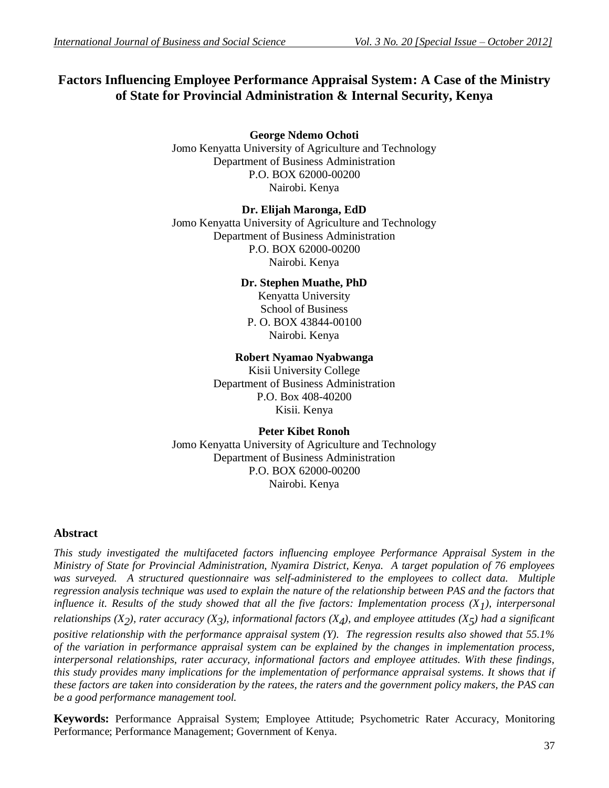# **Factors Influencing Employee Performance Appraisal System: A Case of the Ministry of State for Provincial Administration & Internal Security, Kenya**

**George Ndemo Ochoti** Jomo Kenyatta University of Agriculture and Technology Department of Business Administration P.O. BOX 62000-00200 Nairobi. Kenya

### **Dr. Elijah Maronga, EdD**

Jomo Kenyatta University of Agriculture and Technology Department of Business Administration P.O. BOX 62000-00200 Nairobi. Kenya

**Dr. Stephen Muathe, PhD**

Kenyatta University School of Business P. O. BOX 43844-00100 Nairobi. Kenya

**Robert Nyamao Nyabwanga**

Kisii University College Department of Business Administration P.O. Box 408-40200 Kisii. Kenya

# **Peter Kibet Ronoh**

Jomo Kenyatta University of Agriculture and Technology Department of Business Administration P.O. BOX 62000-00200 Nairobi. Kenya

# **Abstract**

*This study investigated the multifaceted factors influencing employee Performance Appraisal System in the Ministry of State for Provincial Administration, Nyamira District, Kenya. A target population of 76 employees was surveyed. A structured questionnaire was self-administered to the employees to collect data. Multiple regression analysis technique was used to explain the nature of the relationship between PAS and the factors that influence it. Results of the study showed that all the five factors: Implementation process (X1 ), interpersonal relationships (X2 ), rater accuracy (X3 ), informational factors (X4 ), and employee attitudes (X5 ) had a significant positive relationship with the performance appraisal system (Y). The regression results also showed that 55.1% of the variation in performance appraisal system can be explained by the changes in implementation process, interpersonal relationships, rater accuracy, informational factors and employee attitudes. With these findings, this study provides many implications for the implementation of performance appraisal systems. It shows that if these factors are taken into consideration by the ratees, the raters and the government policy makers, the PAS can be a good performance management tool.*

**Keywords:** Performance Appraisal System; Employee Attitude; Psychometric Rater Accuracy, Monitoring Performance; Performance Management; Government of Kenya.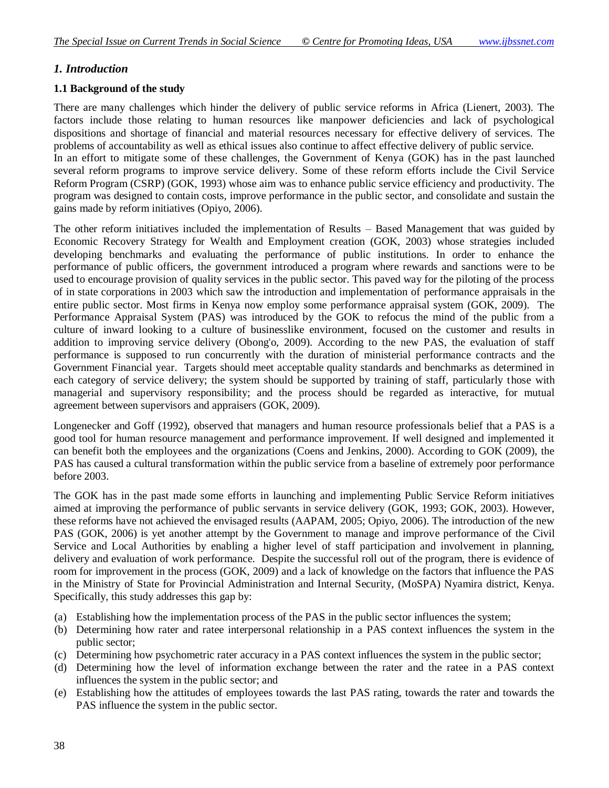### *1. Introduction*

#### **1.1 Background of the study**

There are many challenges which hinder the delivery of public service reforms in Africa (Lienert, 2003). The factors include those relating to human resources like manpower deficiencies and lack of psychological dispositions and shortage of financial and material resources necessary for effective delivery of services. The problems of accountability as well as ethical issues also continue to affect effective delivery of public service. In an effort to mitigate some of these challenges, the Government of Kenya (GOK) has in the past launched several reform programs to improve service delivery. Some of these reform efforts include the Civil Service Reform Program (CSRP) (GOK, 1993) whose aim was to enhance public service efficiency and productivity. The program was designed to contain costs, improve performance in the public sector, and consolidate and sustain the gains made by reform initiatives (Opiyo, 2006).

The other reform initiatives included the implementation of Results – Based Management that was guided by Economic Recovery Strategy for Wealth and Employment creation (GOK, 2003) whose strategies included developing benchmarks and evaluating the performance of public institutions. In order to enhance the performance of public officers, the government introduced a program where rewards and sanctions were to be used to encourage provision of quality services in the public sector. This paved way for the piloting of the process of in state corporations in 2003 which saw the introduction and implementation of performance appraisals in the entire public sector. Most firms in Kenya now employ some performance appraisal system (GOK, 2009). The Performance Appraisal System (PAS) was introduced by the GOK to refocus the mind of the public from a culture of inward looking to a culture of businesslike environment, focused on the customer and results in addition to improving service delivery (Obong'o, 2009). According to the new PAS, the evaluation of staff performance is supposed to run concurrently with the duration of ministerial performance contracts and the Government Financial year. Targets should meet acceptable quality standards and benchmarks as determined in each category of service delivery; the system should be supported by training of staff, particularly those with managerial and supervisory responsibility; and the process should be regarded as interactive, for mutual agreement between supervisors and appraisers (GOK, 2009).

Longenecker and Goff (1992), observed that managers and human resource professionals belief that a PAS is a good tool for human resource management and performance improvement. If well designed and implemented it can benefit both the employees and the organizations (Coens and Jenkins, 2000). According to GOK (2009), the PAS has caused a cultural transformation within the public service from a baseline of extremely poor performance before 2003.

The GOK has in the past made some efforts in launching and implementing Public Service Reform initiatives aimed at improving the performance of public servants in service delivery (GOK, 1993; GOK, 2003). However, these reforms have not achieved the envisaged results (AAPAM, 2005; Opiyo, 2006). The introduction of the new PAS (GOK, 2006) is yet another attempt by the Government to manage and improve performance of the Civil Service and Local Authorities by enabling a higher level of staff participation and involvement in planning, delivery and evaluation of work performance. Despite the successful roll out of the program, there is evidence of room for improvement in the process (GOK, 2009) and a lack of knowledge on the factors that influence the PAS in the Ministry of State for Provincial Administration and Internal Security, (MoSPA) Nyamira district, Kenya. Specifically, this study addresses this gap by:

- (a) Establishing how the implementation process of the PAS in the public sector influences the system;
- (b) Determining how rater and ratee interpersonal relationship in a PAS context influences the system in the public sector;
- (c) Determining how psychometric rater accuracy in a PAS context influences the system in the public sector;
- (d) Determining how the level of information exchange between the rater and the ratee in a PAS context influences the system in the public sector; and
- (e) Establishing how the attitudes of employees towards the last PAS rating, towards the rater and towards the PAS influence the system in the public sector.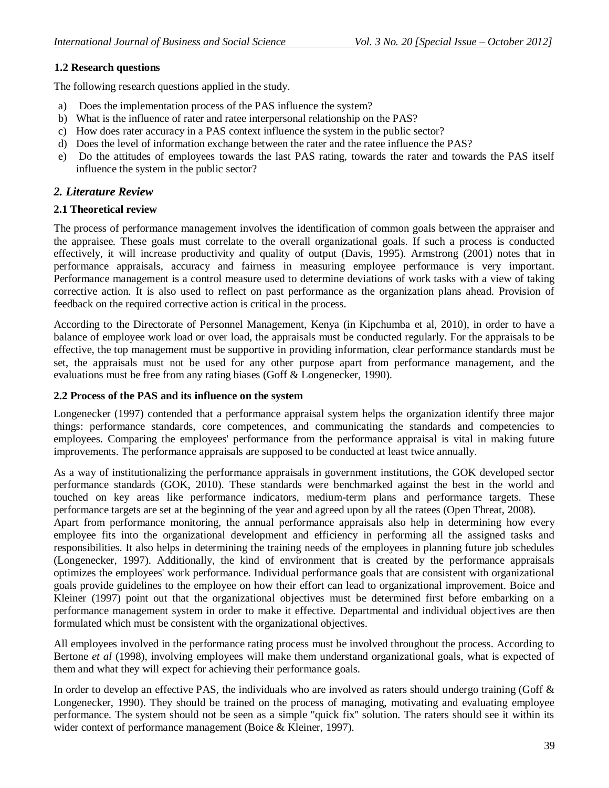#### **1.2 Research questions**

The following research questions applied in the study.

- a) Does the implementation process of the PAS influence the system?
- b) What is the influence of rater and ratee interpersonal relationship on the PAS?
- c) How does rater accuracy in a PAS context influence the system in the public sector?
- d) Does the level of information exchange between the rater and the ratee influence the PAS?
- e) Do the attitudes of employees towards the last PAS rating, towards the rater and towards the PAS itself influence the system in the public sector?

#### *2. Literature Review*

#### **2.1 Theoretical review**

The process of performance management involves the identification of common goals between the appraiser and the appraisee. These goals must correlate to the overall organizational goals. If such a process is conducted effectively, it will increase productivity and quality of output (Davis, 1995). Armstrong (2001) notes that in performance appraisals, accuracy and fairness in measuring employee performance is very important. Performance management is a control measure used to determine deviations of work tasks with a view of taking corrective action. It is also used to reflect on past performance as the organization plans ahead. Provision of feedback on the required corrective action is critical in the process.

According to the Directorate of Personnel Management, Kenya (in Kipchumba et al, 2010), in order to have a balance of employee work load or over load, the appraisals must be conducted regularly. For the appraisals to be effective, the top management must be supportive in providing information, clear performance standards must be set, the appraisals must not be used for any other purpose apart from performance management, and the evaluations must be free from any rating biases (Goff & Longenecker, 1990).

#### **2.2 Process of the PAS and its influence on the system**

Longenecker (1997) contended that a performance appraisal system helps the organization identify three major things: performance standards, core competences, and communicating the standards and competencies to employees. Comparing the employees' performance from the performance appraisal is vital in making future improvements. The performance appraisals are supposed to be conducted at least twice annually.

As a way of institutionalizing the performance appraisals in government institutions, the GOK developed sector performance standards (GOK, 2010). These standards were benchmarked against the best in the world and touched on key areas like performance indicators, medium-term plans and performance targets. These performance targets are set at the beginning of the year and agreed upon by all the ratees (Open Threat, 2008).

Apart from performance monitoring, the annual performance appraisals also help in determining how every employee fits into the organizational development and efficiency in performing all the assigned tasks and responsibilities. It also helps in determining the training needs of the employees in planning future job schedules (Longenecker, 1997). Additionally, the kind of environment that is created by the performance appraisals optimizes the employees' work performance. Individual performance goals that are consistent with organizational goals provide guidelines to the employee on how their effort can lead to organizational improvement. Boice and Kleiner (1997) point out that the organizational objectives must be determined first before embarking on a performance management system in order to make it effective. Departmental and individual objectives are then formulated which must be consistent with the organizational objectives.

All employees involved in the performance rating process must be involved throughout the process. According to Bertone *et al* (1998), involving employees will make them understand organizational goals, what is expected of them and what they will expect for achieving their performance goals.

In order to develop an effective PAS, the individuals who are involved as raters should undergo training (Goff  $\&$ Longenecker, 1990). They should be trained on the process of managing, motivating and evaluating employee performance. The system should not be seen as a simple ''quick fix'' solution. The raters should see it within its wider context of performance management (Boice & Kleiner, 1997).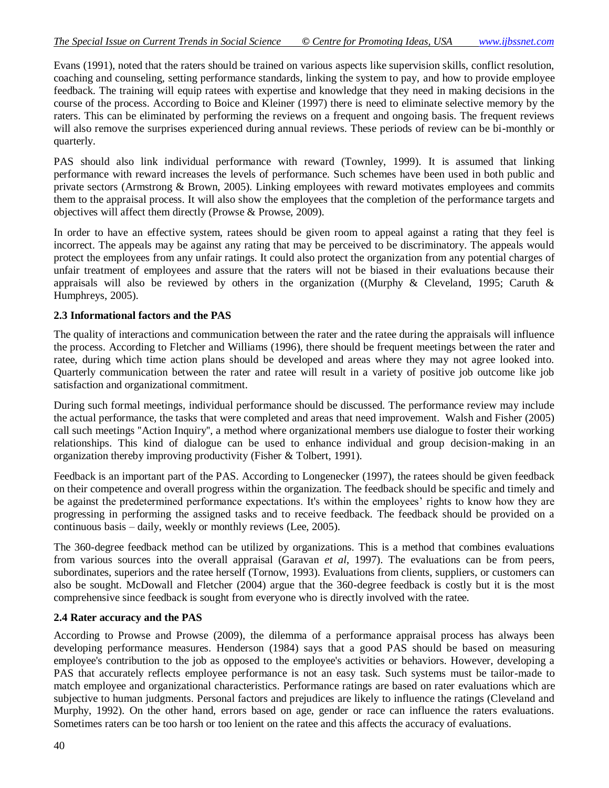Evans (1991), noted that the raters should be trained on various aspects like supervision skills, conflict resolution, coaching and counseling, setting performance standards, linking the system to pay, and how to provide employee feedback. The training will equip ratees with expertise and knowledge that they need in making decisions in the course of the process. According to Boice and Kleiner (1997) there is need to eliminate selective memory by the raters. This can be eliminated by performing the reviews on a frequent and ongoing basis. The frequent reviews will also remove the surprises experienced during annual reviews. These periods of review can be bi-monthly or quarterly.

PAS should also link individual performance with reward (Townley, 1999). It is assumed that linking performance with reward increases the levels of performance. Such schemes have been used in both public and private sectors (Armstrong & Brown, 2005). Linking employees with reward motivates employees and commits them to the appraisal process. It will also show the employees that the completion of the performance targets and objectives will affect them directly (Prowse & Prowse, 2009).

In order to have an effective system, ratees should be given room to appeal against a rating that they feel is incorrect. The appeals may be against any rating that may be perceived to be discriminatory. The appeals would protect the employees from any unfair ratings. It could also protect the organization from any potential charges of unfair treatment of employees and assure that the raters will not be biased in their evaluations because their appraisals will also be reviewed by others in the organization ((Murphy & Cleveland, 1995; Caruth & Humphreys, 2005).

#### **2.3 Informational factors and the PAS**

The quality of interactions and communication between the rater and the ratee during the appraisals will influence the process. According to Fletcher and Williams (1996), there should be frequent meetings between the rater and ratee, during which time action plans should be developed and areas where they may not agree looked into. Quarterly communication between the rater and ratee will result in a variety of positive job outcome like job satisfaction and organizational commitment.

During such formal meetings, individual performance should be discussed. The performance review may include the actual performance, the tasks that were completed and areas that need improvement. Walsh and Fisher (2005) call such meetings ''Action Inquiry'', a method where organizational members use dialogue to foster their working relationships. This kind of dialogue can be used to enhance individual and group decision-making in an organization thereby improving productivity (Fisher & Tolbert, 1991).

Feedback is an important part of the PAS. According to Longenecker (1997), the ratees should be given feedback on their competence and overall progress within the organization. The feedback should be specific and timely and be against the predetermined performance expectations. It's within the employees' rights to know how they are progressing in performing the assigned tasks and to receive feedback. The feedback should be provided on a continuous basis – daily, weekly or monthly reviews (Lee, 2005).

The 360-degree feedback method can be utilized by organizations. This is a method that combines evaluations from various sources into the overall appraisal (Garavan *et al*, 1997). The evaluations can be from peers, subordinates, superiors and the ratee herself (Tornow, 1993). Evaluations from clients, suppliers, or customers can also be sought. McDowall and Fletcher (2004) argue that the 360-degree feedback is costly but it is the most comprehensive since feedback is sought from everyone who is directly involved with the ratee.

#### **2.4 Rater accuracy and the PAS**

According to Prowse and Prowse (2009), the dilemma of a performance appraisal process has always been developing performance measures. Henderson (1984) says that a good PAS should be based on measuring employee's contribution to the job as opposed to the employee's activities or behaviors. However, developing a PAS that accurately reflects employee performance is not an easy task. Such systems must be tailor-made to match employee and organizational characteristics. Performance ratings are based on rater evaluations which are subjective to human judgments. Personal factors and prejudices are likely to influence the ratings (Cleveland and Murphy, 1992). On the other hand, errors based on age, gender or race can influence the raters evaluations. Sometimes raters can be too harsh or too lenient on the ratee and this affects the accuracy of evaluations.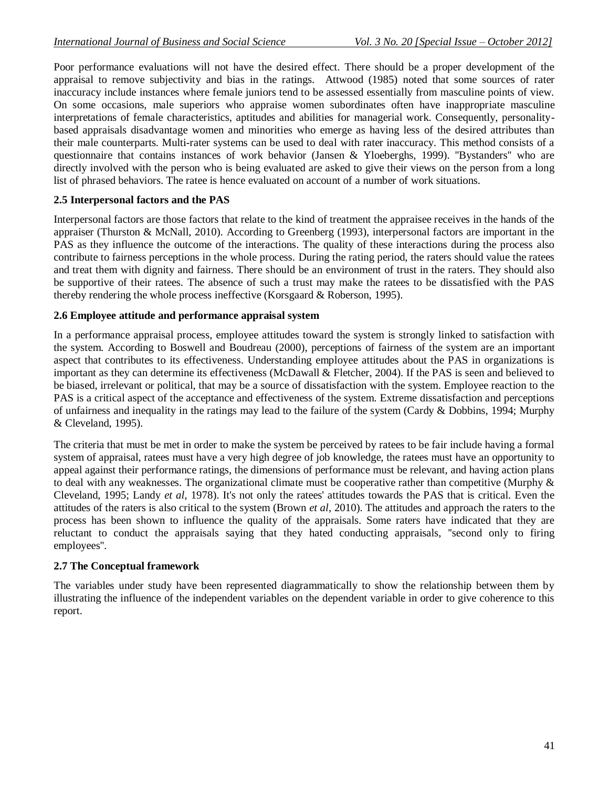Poor performance evaluations will not have the desired effect. There should be a proper development of the appraisal to remove subjectivity and bias in the ratings. Attwood (1985) noted that some sources of rater inaccuracy include instances where female juniors tend to be assessed essentially from masculine points of view. On some occasions, male superiors who appraise women subordinates often have inappropriate masculine interpretations of female characteristics, aptitudes and abilities for managerial work. Consequently, personalitybased appraisals disadvantage women and minorities who emerge as having less of the desired attributes than their male counterparts. Multi-rater systems can be used to deal with rater inaccuracy. This method consists of a questionnaire that contains instances of work behavior (Jansen & Yloeberghs, 1999). ''Bystanders'' who are directly involved with the person who is being evaluated are asked to give their views on the person from a long list of phrased behaviors. The ratee is hence evaluated on account of a number of work situations.

#### **2.5 Interpersonal factors and the PAS**

Interpersonal factors are those factors that relate to the kind of treatment the appraisee receives in the hands of the appraiser (Thurston & McNall, 2010). According to Greenberg (1993), interpersonal factors are important in the PAS as they influence the outcome of the interactions. The quality of these interactions during the process also contribute to fairness perceptions in the whole process. During the rating period, the raters should value the ratees and treat them with dignity and fairness. There should be an environment of trust in the raters. They should also be supportive of their ratees. The absence of such a trust may make the ratees to be dissatisfied with the PAS thereby rendering the whole process ineffective (Korsgaard & Roberson, 1995).

#### **2.6 Employee attitude and performance appraisal system**

In a performance appraisal process, employee attitudes toward the system is strongly linked to satisfaction with the system. According to Boswell and Boudreau (2000), perceptions of fairness of the system are an important aspect that contributes to its effectiveness. Understanding employee attitudes about the PAS in organizations is important as they can determine its effectiveness (McDawall & Fletcher, 2004). If the PAS is seen and believed to be biased, irrelevant or political, that may be a source of dissatisfaction with the system. Employee reaction to the PAS is a critical aspect of the acceptance and effectiveness of the system. Extreme dissatisfaction and perceptions of unfairness and inequality in the ratings may lead to the failure of the system (Cardy & Dobbins, 1994; Murphy & Cleveland, 1995).

The criteria that must be met in order to make the system be perceived by ratees to be fair include having a formal system of appraisal, ratees must have a very high degree of job knowledge, the ratees must have an opportunity to appeal against their performance ratings, the dimensions of performance must be relevant, and having action plans to deal with any weaknesses. The organizational climate must be cooperative rather than competitive (Murphy & Cleveland, 1995; Landy *et al,* 1978). It's not only the ratees' attitudes towards the PAS that is critical. Even the attitudes of the raters is also critical to the system (Brown *et al*, 2010). The attitudes and approach the raters to the process has been shown to influence the quality of the appraisals. Some raters have indicated that they are reluctant to conduct the appraisals saying that they hated conducting appraisals, ''second only to firing employees''.

#### **2.7 The Conceptual framework**

The variables under study have been represented diagrammatically to show the relationship between them by illustrating the influence of the independent variables on the dependent variable in order to give coherence to this report.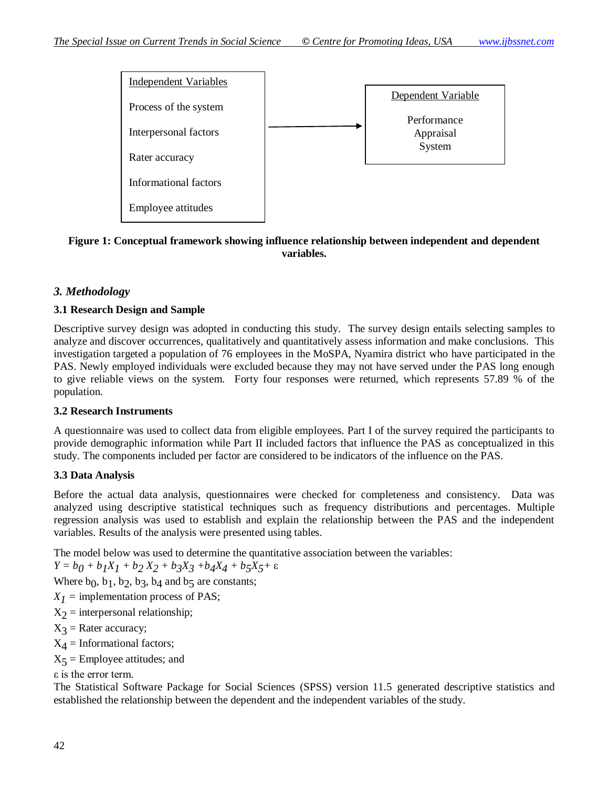

#### **Figure 1: Conceptual framework showing influence relationship between independent and dependent variables.**

### *3. Methodology*

#### **3.1 Research Design and Sample**

Descriptive survey design was adopted in conducting this study. The survey design entails selecting samples to analyze and discover occurrences, qualitatively and quantitatively assess information and make conclusions. This investigation targeted a population of 76 employees in the MoSPA, Nyamira district who have participated in the PAS. Newly employed individuals were excluded because they may not have served under the PAS long enough to give reliable views on the system. Forty four responses were returned, which represents 57.89 % of the population.

#### **3.2 Research Instruments**

A questionnaire was used to collect data from eligible employees. Part I of the survey required the participants to provide demographic information while Part II included factors that influence the PAS as conceptualized in this study. The components included per factor are considered to be indicators of the influence on the PAS.

#### **3.3 Data Analysis**

Before the actual data analysis, questionnaires were checked for completeness and consistency. Data was analyzed using descriptive statistical techniques such as frequency distributions and percentages. Multiple regression analysis was used to establish and explain the relationship between the PAS and the independent variables. Results of the analysis were presented using tables.

The model below was used to determine the quantitative association between the variables:

$$
Y = b_0 + b_1 X_1 + b_2 X_2 + b_3 X_3 + b_4 X_4 + b_5 X_5 + \varepsilon
$$

Where  $b_0$ ,  $b_1$ ,  $b_2$ ,  $b_3$ ,  $b_4$  and  $b_5$  are constants;

 $X_1$  = implementation process of PAS;

 $X_2$  = interpersonal relationship;

 $X_3$  = Rater accuracy;

 $X_4$  = Informational factors;

 $X_5$  = Employee attitudes; and

ε is the error term.

The Statistical Software Package for Social Sciences (SPSS) version 11.5 generated descriptive statistics and established the relationship between the dependent and the independent variables of the study.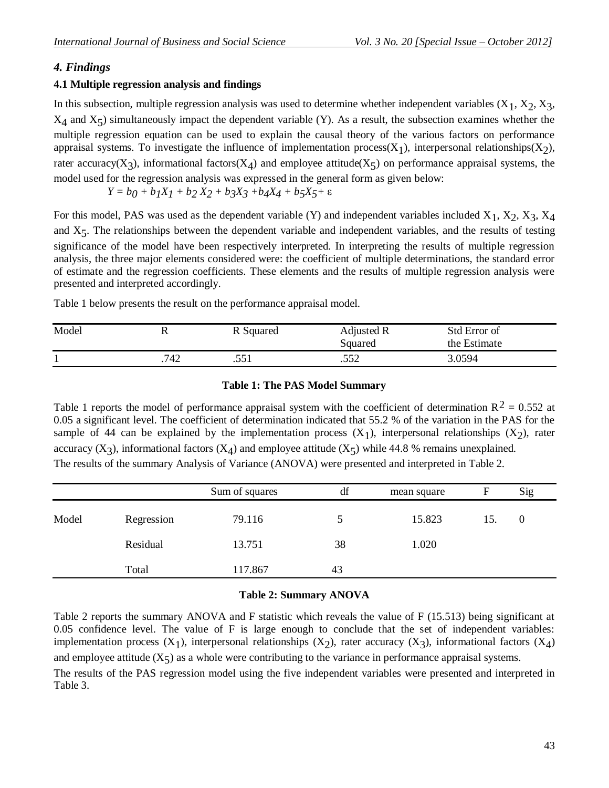# *4. Findings*

### **4.1 Multiple regression analysis and findings**

In this subsection, multiple regression analysis was used to determine whether independent variables  $(X_1, X_2, X_3,$ X4 and X5 ) simultaneously impact the dependent variable (Y). As a result, the subsection examines whether the multiple regression equation can be used to explain the causal theory of the various factors on performance appraisal systems. To investigate the influence of implementation process( $X_1$ ), interpersonal relationships( $X_2$ ), rater accuracy(X<sub>3</sub>), informational factors(X<sub>4</sub>) and employee attitude(X<sub>5</sub>) on performance appraisal systems, the model used for the regression analysis was expressed in the general form as given below:

$$
Y = b_0 + b_1 X_1 + b_2 X_2 + b_3 X_3 + b_4 X_4 + b_5 X_5 + \varepsilon
$$

For this model, PAS was used as the dependent variable (Y) and independent variables included  $X_1, X_2, X_3, X_4$ and X<sub>5</sub>. The relationships between the dependent variable and independent variables, and the results of testing significance of the model have been respectively interpreted. In interpreting the results of multiple regression analysis, the three major elements considered were: the coefficient of multiple determinations, the standard error of estimate and the regression coefficients. These elements and the results of multiple regression analysis were presented and interpreted accordingly.

Table 1 below presents the result on the performance appraisal model.

| Model | R   | R Squared    | Adjusted R<br>Squared | <b>Std Error of</b><br>the Estimate |
|-------|-----|--------------|-----------------------|-------------------------------------|
|       | 742 | 551<br>.JJ 1 | .552                  | 3.0594                              |

### **Table 1: The PAS Model Summary**

Table 1 reports the model of performance appraisal system with the coefficient of determination  $R^2 = 0.552$  at 0.05 a significant level. The coefficient of determination indicated that 55.2 % of the variation in the PAS for the sample of 44 can be explained by the implementation process  $(X_1)$ , interpersonal relationships  $(X_2)$ , rater accuracy  $(X_3)$ , informational factors  $(X_4)$  and employee attitude  $(X_5)$  while 44.8 % remains unexplained. The results of the summary Analysis of Variance (ANOVA) were presented and interpreted in Table 2.

|       |            | Sum of squares | df | mean square | F   | Sig      |  |
|-------|------------|----------------|----|-------------|-----|----------|--|
| Model | Regression | 79.116         |    | 15.823      | 15. | $\theta$ |  |
|       | Residual   | 13.751         | 38 | 1.020       |     |          |  |
|       | Total      | 117.867        | 43 |             |     |          |  |

### **Table 2: Summary ANOVA**

Table 2 reports the summary ANOVA and F statistic which reveals the value of F (15.513) being significant at 0.05 confidence level. The value of F is large enough to conclude that the set of independent variables: implementation process  $(X_1)$ , interpersonal relationships  $(X_2)$ , rater accuracy  $(X_3)$ , informational factors  $(X_4)$ and employee attitude  $(X_5)$  as a whole were contributing to the variance in performance appraisal systems.

The results of the PAS regression model using the five independent variables were presented and interpreted in Table 3.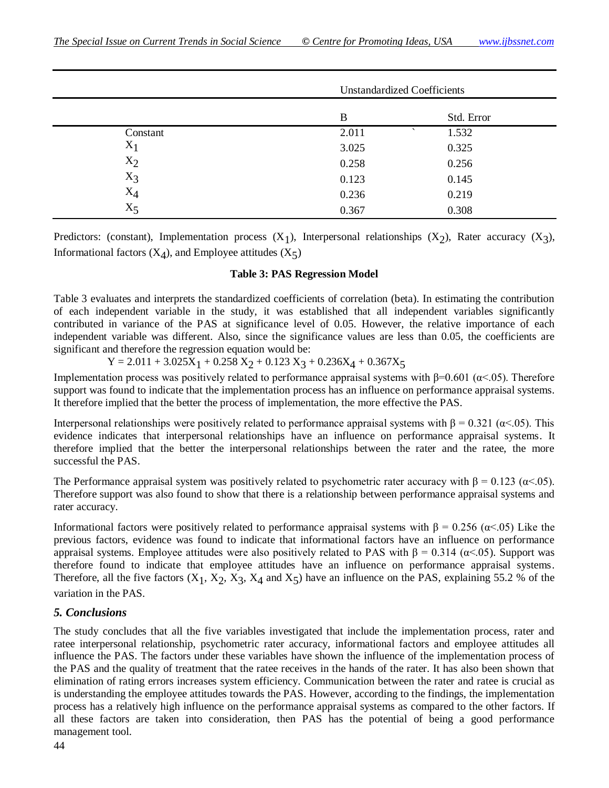|          | <b>Unstandardized Coefficients</b> |                                   |
|----------|------------------------------------|-----------------------------------|
|          | B                                  | Std. Error                        |
| Constant | 2.011                              | $\overline{\phantom{0}}$<br>1.532 |
| $X_1$    | 3.025                              | 0.325                             |
| $X_2$    | 0.258                              | 0.256                             |
| $X_3$    | 0.123                              | 0.145                             |
| $X_4$    | 0.236                              | 0.219                             |
| $X_5$    | 0.367                              | 0.308                             |

Predictors: (constant), Implementation process  $(X_1)$ , Interpersonal relationships  $(X_2)$ , Rater accuracy  $(X_3)$ , Informational factors  $(X_4)$ , and Employee attitudes  $(X_5)$ 

#### **Table 3: PAS Regression Model**

Table 3 evaluates and interprets the standardized coefficients of correlation (beta). In estimating the contribution of each independent variable in the study, it was established that all independent variables significantly contributed in variance of the PAS at significance level of 0.05. However, the relative importance of each independent variable was different. Also, since the significance values are less than 0.05, the coefficients are significant and therefore the regression equation would be:

 $Y = 2.011 + 3.025X_1 + 0.258X_2 + 0.123X_3 + 0.236X_4 + 0.367X_5$ 

Implementation process was positively related to performance appraisal systems with  $β=0.601$  (α<.05). Therefore support was found to indicate that the implementation process has an influence on performance appraisal systems. It therefore implied that the better the process of implementation, the more effective the PAS.

Interpersonal relationships were positively related to performance appraisal systems with β = 0.321 ( $\alpha$  < 05). This evidence indicates that interpersonal relationships have an influence on performance appraisal systems. It therefore implied that the better the interpersonal relationships between the rater and the ratee, the more successful the PAS.

The Performance appraisal system was positively related to psychometric rater accuracy with  $\beta = 0.123$  ( $\alpha$  < 05). Therefore support was also found to show that there is a relationship between performance appraisal systems and rater accuracy.

Informational factors were positively related to performance appraisal systems with β = 0.256 ( $\alpha$ <.05) Like the previous factors, evidence was found to indicate that informational factors have an influence on performance appraisal systems. Employee attitudes were also positively related to PAS with  $β = 0.314$  (α<.05). Support was therefore found to indicate that employee attitudes have an influence on performance appraisal systems. Therefore, all the five factors  $(X_1, X_2, X_3, X_4$  and  $X_5$ ) have an influence on the PAS, explaining 55.2 % of the variation in the PAS.

#### *5. Conclusions*

The study concludes that all the five variables investigated that include the implementation process, rater and ratee interpersonal relationship, psychometric rater accuracy, informational factors and employee attitudes all influence the PAS. The factors under these variables have shown the influence of the implementation process of the PAS and the quality of treatment that the ratee receives in the hands of the rater. It has also been shown that elimination of rating errors increases system efficiency. Communication between the rater and ratee is crucial as is understanding the employee attitudes towards the PAS. However, according to the findings, the implementation process has a relatively high influence on the performance appraisal systems as compared to the other factors. If all these factors are taken into consideration, then PAS has the potential of being a good performance management tool.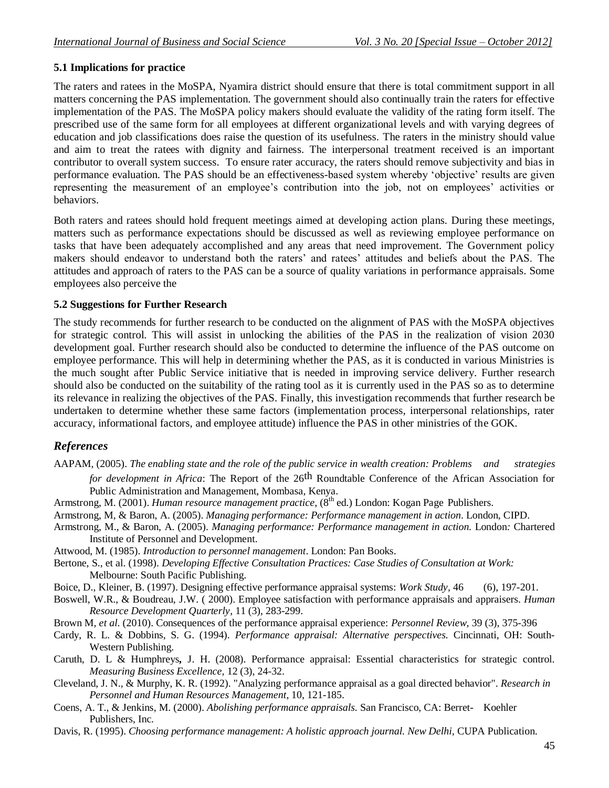### **5.1 Implications for practice**

The raters and ratees in the MoSPA, Nyamira district should ensure that there is total commitment support in all matters concerning the PAS implementation. The government should also continually train the raters for effective implementation of the PAS. The MoSPA policy makers should evaluate the validity of the rating form itself. The prescribed use of the same form for all employees at different organizational levels and with varying degrees of education and job classifications does raise the question of its usefulness. The raters in the ministry should value and aim to treat the ratees with dignity and fairness. The interpersonal treatment received is an important contributor to overall system success. To ensure rater accuracy, the raters should remove subjectivity and bias in performance evaluation. The PAS should be an effectiveness-based system whereby 'objective' results are given representing the measurement of an employee's contribution into the job, not on employees' activities or behaviors.

Both raters and ratees should hold frequent meetings aimed at developing action plans. During these meetings, matters such as performance expectations should be discussed as well as reviewing employee performance on tasks that have been adequately accomplished and any areas that need improvement. The Government policy makers should endeavor to understand both the raters' and ratees' attitudes and beliefs about the PAS. The attitudes and approach of raters to the PAS can be a source of quality variations in performance appraisals. Some employees also perceive the

### **5.2 Suggestions for Further Research**

The study recommends for further research to be conducted on the alignment of PAS with the MoSPA objectives for strategic control. This will assist in unlocking the abilities of the PAS in the realization of vision 2030 development goal. Further research should also be conducted to determine the influence of the PAS outcome on employee performance. This will help in determining whether the PAS, as it is conducted in various Ministries is the much sought after Public Service initiative that is needed in improving service delivery. Further research should also be conducted on the suitability of the rating tool as it is currently used in the PAS so as to determine its relevance in realizing the objectives of the PAS. Finally, this investigation recommends that further research be undertaken to determine whether these same factors (implementation process, interpersonal relationships, rater accuracy, informational factors, and employee attitude) influence the PAS in other ministries of the GOK.

# *References*

- AAPAM, (2005). *The enabling state and the role of the public service in wealth creation: Problems and strategies for development in Africa*: The Report of the 26<sup>th</sup> Roundtable Conference of the African Association for Public Administration and Management, Mombasa, Kenya.
- Armstrong, M. (2001). *Human resource management practice*, (8<sup>th</sup> ed.) London: Kogan Page Publishers.
- Armstrong, M, & Baron, A. (2005). *Managing performance: Performance management in action*. London, CIPD.
- Armstrong, M., & Baron, A. (2005). *Managing performance: Performance management in action.* London*:* Chartered Institute of Personnel and Development.
- Attwood, M. (1985). *Introduction to personnel management*. London: Pan Books.
- Bertone, S., et al. (1998). *Developing Effective Consultation Practices: Case Studies of Consultation at Work:* Melbourne: South Pacific Publishing.
- Boice, D., Kleiner, B. (1997). Designing effective performance appraisal systems: *Work Study,* 46 (6), 197-201.
- Boswell, W.R., & Boudreau, J.W. ( 2000). Employee satisfaction with performance appraisals and appraisers. *Human Resource Development Quarterly*, 11 (3), 283-299.
- Brown M, *et al*. (2010). Consequences of the performance appraisal experience: *Personnel Review*, 39 (3), 375-396
- Cardy, R. L. & Dobbins, S. G. (1994). *Performance appraisal: Alternative perspectives.* Cincinnati, OH: South-Western Publishing.
- Caruth, D. L & Humphreys*,* J. H. (2008). Performance appraisal: Essential characteristics for strategic control. *Measuring Business Excellence,* 12 (3), 24-32.
- Cleveland, J. N., & Murphy, K. R. (1992). "Analyzing performance appraisal as a goal directed behavior". *Research in Personnel and Human Resources Management*, 10, 121-185.
- Coens, A. T., & Jenkins, M. (2000). *Abolishing performance appraisals.* San Francisco, CA: Berret- Koehler Publishers, Inc.
- Davis, R. (1995). *Choosing performance management: A holistic approach journal. New Delhi*, CUPA Publication.